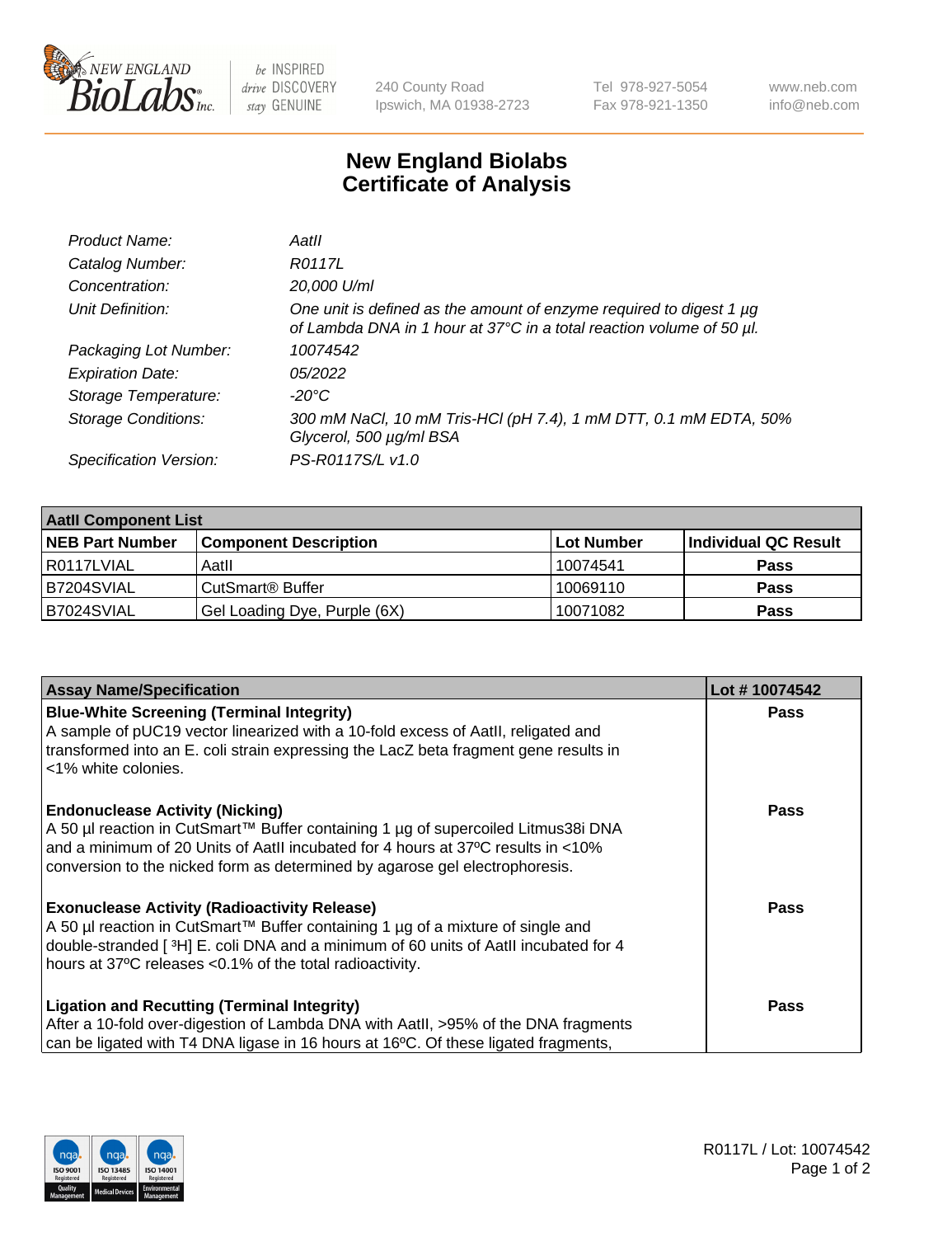

 $be$  INSPIRED drive DISCOVERY stay GENUINE

240 County Road Ipswich, MA 01938-2723 Tel 978-927-5054 Fax 978-921-1350 www.neb.com info@neb.com

## **New England Biolabs Certificate of Analysis**

| Product Name:              | Aatll                                                                                                                                       |
|----------------------------|---------------------------------------------------------------------------------------------------------------------------------------------|
| Catalog Number:            | R0117L                                                                                                                                      |
| Concentration:             | 20,000 U/ml                                                                                                                                 |
| Unit Definition:           | One unit is defined as the amount of enzyme required to digest 1 µg<br>of Lambda DNA in 1 hour at 37°C in a total reaction volume of 50 µl. |
| Packaging Lot Number:      | 10074542                                                                                                                                    |
| <b>Expiration Date:</b>    | 05/2022                                                                                                                                     |
| Storage Temperature:       | -20°C                                                                                                                                       |
| <b>Storage Conditions:</b> | 300 mM NaCl, 10 mM Tris-HCl (pH 7.4), 1 mM DTT, 0.1 mM EDTA, 50%<br>Glycerol, 500 µg/ml BSA                                                 |
| Specification Version:     | PS-R0117S/L v1.0                                                                                                                            |

| <b>Aatll Component List</b> |                              |            |                      |  |  |
|-----------------------------|------------------------------|------------|----------------------|--|--|
| <b>NEB Part Number</b>      | <b>Component Description</b> | Lot Number | Individual QC Result |  |  |
| R0117LVIAL                  | Aatll                        | 10074541   | <b>Pass</b>          |  |  |
| B7204SVIAL                  | CutSmart <sup>®</sup> Buffer | 10069110   | <b>Pass</b>          |  |  |
| B7024SVIAL                  | Gel Loading Dye, Purple (6X) | 10071082   | <b>Pass</b>          |  |  |

| <b>Assay Name/Specification</b>                                                                 | Lot #10074542 |
|-------------------------------------------------------------------------------------------------|---------------|
| <b>Blue-White Screening (Terminal Integrity)</b>                                                | <b>Pass</b>   |
| A sample of pUC19 vector linearized with a 10-fold excess of Aatll, religated and               |               |
| transformed into an E. coli strain expressing the LacZ beta fragment gene results in            |               |
| <1% white colonies.                                                                             |               |
| <b>Endonuclease Activity (Nicking)</b>                                                          | <b>Pass</b>   |
| A 50 µl reaction in CutSmart™ Buffer containing 1 µg of supercoiled Litmus38i DNA               |               |
| and a minimum of 20 Units of AatII incubated for 4 hours at 37°C results in <10%                |               |
| conversion to the nicked form as determined by agarose gel electrophoresis.                     |               |
| <b>Exonuclease Activity (Radioactivity Release)</b>                                             | Pass          |
| A 50 µl reaction in CutSmart™ Buffer containing 1 µg of a mixture of single and                 |               |
| double-stranded [3H] E. coli DNA and a minimum of 60 units of Aatll incubated for 4             |               |
| hours at 37°C releases <0.1% of the total radioactivity.                                        |               |
| <b>Ligation and Recutting (Terminal Integrity)</b>                                              | <b>Pass</b>   |
| After a 10-fold over-digestion of Lambda DNA with AatII, >95% of the DNA fragments              |               |
| can be ligated with T4 DNA ligase in 16 hours at 16 <sup>o</sup> C. Of these ligated fragments, |               |